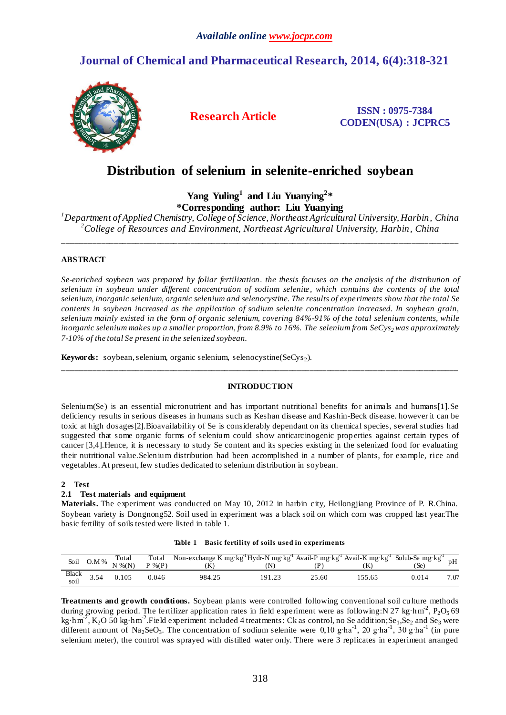# **Journal of Chemical and Pharmaceutical Research, 2014, 6(4):318-321**



**Research Article ISSN : 0975-7384 CODEN(USA) : JCPRC5**

# **Distribution of selenium in selenite-enriched soybean**

**Yang Yuling<sup>1</sup> and Liu Yuanying<sup>2</sup> \* \*Corresponding author: Liu Yuanying** 

*<sup>1</sup>Department of Applied Chemistry, College of Science, Northeast Agricultural University, Harbin, China <sup>2</sup>College of Resources and Environment, Northeast Agricultural University, Harbin, China*

\_\_\_\_\_\_\_\_\_\_\_\_\_\_\_\_\_\_\_\_\_\_\_\_\_\_\_\_\_\_\_\_\_\_\_\_\_\_\_\_\_\_\_\_\_\_\_\_\_\_\_\_\_\_\_\_\_\_\_\_\_\_\_\_\_\_\_\_\_\_\_\_\_\_\_\_\_\_\_\_\_\_\_\_\_\_\_\_\_\_\_\_\_

# **ABSTRACT**

*Se-enriched soybean was prepared by foliar fertilization. the thesis focuses on the analysis of the distribution of selenium in soybean under different concentration of sodium selenite, which contains the contents of the total selenium, inorganic selenium, organic selenium and selenocystine. The results of experiments show that the total Se contents in soybean increased as the application of sodium selenite concentration increased. In soybean grain, selenium mainly existed in the form of organic selenium, covering 84%-91% of the total selenium contents, while inorganic selenium makes up a smaller proportion, from 8.9% to 16%. The selenium from SeCys2 was approximately 7-10% of the total Se present in the selenized soybean.* 

**Keywords:** soybean, selenium, organic selenium, selenocystine(SeCys<sub>2</sub>).

# **INTRODUCTION**

\_\_\_\_\_\_\_\_\_\_\_\_\_\_\_\_\_\_\_\_\_\_\_\_\_\_\_\_\_\_\_\_\_\_\_\_\_\_\_\_\_\_\_\_\_\_\_\_\_\_\_\_\_\_\_\_\_\_\_\_\_\_\_\_\_\_\_\_\_\_\_\_\_\_\_\_\_\_\_\_\_\_\_\_\_\_\_\_\_\_\_\_\_

Selenium(Se) is an essential micronutrient and has important nutritional benefits for animals and humans[1]. Se deficiency results in serious diseases in humans such as Keshan disease and Kashin-Beck disease. however it can be toxic at high dosages[2].Bioavailability of Se is considerably dependant on its chemical species, several studies had suggested that some organic forms of selenium could show anticarcinogenic prop erties against certain types of cancer [3,4].Hence, it is necessary to study Se content and its species existing in the selenized food for evaluating their nutritional value.Selenium distribution had been accomplished in a number of plants, for example, rice and vegetables. At present, few studies dedicated to selenium distribution in soybean.

# **2 Test**

# **2.1 Test materials and equipment**

**Materials.** The experiment was conducted on May 10, 2012 in harbin city, Heilongjiang Province of P. R.China. Soybean variety is Dongnong52. Soil used in experiment was a black soil on which corn was cropped last year.The basic fertility of soils tested were listed in table 1.

|  | Table 1 Basic fertility of soils used in experiments |  |
|--|------------------------------------------------------|--|
|  |                                                      |  |

|               |      | Total<br>Soil $0.M \%$ $N \% (N)$ | Total<br>$P$ % $(P)$ | Non-exchange K mg kg <sup>-1</sup> Hydr-N mg kg <sup>-1</sup> Avail-P mg kg <sup>-1</sup> Avail-K mg kg <sup>-1</sup> Solub-Se mg kg <sup>-1</sup> |        |       |        | 'Se)  | pH   |
|---------------|------|-----------------------------------|----------------------|----------------------------------------------------------------------------------------------------------------------------------------------------|--------|-------|--------|-------|------|
| Black<br>soil | 3.54 | 0.105                             | 0.046                | 984.25                                                                                                                                             | 191.23 | 25.60 | 155.65 | 0.014 | 7.07 |

**Treatments and growth conditions.** Soybean plants were controlled following conventional soil culture methods during growing period. The fertilizer application rates in field experiment were as following: N 27 kg hm<sup>-2</sup>, P<sub>2</sub>O<sub>5</sub> 69 kg  $hm^2$ ,  $K_2O$  50 kg hm<sup>-2</sup>. Field experiment included 4 treatments: Ck as control, no Se addition; Se<sub>1</sub>, Se<sub>2</sub> and Se<sub>3</sub> were different amount of Na<sub>2</sub>SeO<sub>3</sub>. The concentration of sodium selenite were 0,10 g⋅ha<sup>-1</sup>, 20 g⋅ha<sup>-1</sup>, 30 g⋅ha<sup>-1</sup> (in pure selenium meter), the control was sprayed with distilled water only. There were 3 replicates in experiment arranged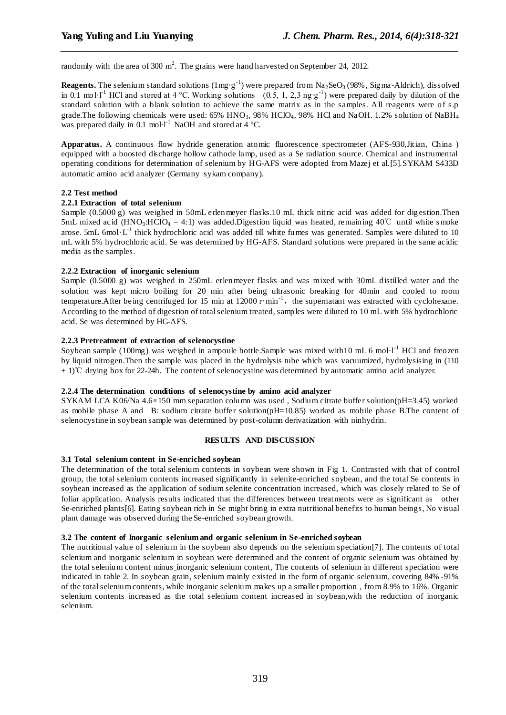randomly with the area of 300  $m^2$ . The grains were hand harvested on September 24, 2012.

**Reagents.** The selenium standard solutions  $(1 \text{ mg } g^{-1})$  were prepared from  $\text{Na}_2\text{SeO}_3(98\%$ , Sigma-Aldrich), dissolved in 0.1 mol<sup>1-1</sup> HCl and stored at 4 °C. Working solutions (0.5, 1, 2,3 ng⋅g<sup>-1</sup>) were prepared daily by dilution of the standard solution with a blank solution to achieve the same matrix as in the samples. All reagents were of s.p grade.The following chemicals were used: 65% HNO<sub>3</sub>, 98% HClO<sub>4</sub>, 98% HCl and NaOH. 1.2% solution of NaBH<sub>4</sub> was prepared daily in 0.1 mol  $I^{-1}$  NaOH and stored at 4 °C.

*\_\_\_\_\_\_\_\_\_\_\_\_\_\_\_\_\_\_\_\_\_\_\_\_\_\_\_\_\_\_\_\_\_\_\_\_\_\_\_\_\_\_\_\_\_\_\_\_\_\_\_\_\_\_\_\_\_\_\_\_\_\_\_\_\_\_\_\_\_\_\_\_\_\_\_\_\_\_*

**Apparatus.** A continuous flow hydride generation atomic fluorescence spectrometer (AFS-930,Jitian, China ) equipped with a boosted discharge hollow cathode lamp, used as a Se radiation source. Chemical and instrumental operating conditions for determination of selenium by HG-AFS were adopted from Mazej et al.[5].SYKAM S433D automatic amino acid analyzer (Germany sykam company).

## **2.2 Test method**

#### **2.2.1 Extraction of total selenium**

Sample (0.5000 g) was weighed in 50mL erlenmeyer flasks.10 mL thick nitric acid was added for dig estion. Then 5mL mixed acid (HNO<sub>3</sub>:HClO<sub>4</sub> = 4:1) was added.Digestion liquid was heated, remaining 40°C until white s moke arose. 5mL 6mol  $L^1$  thick hydrochloric acid was added till white fumes was generated. Samples were diluted to 10 mL with 5% hydrochloric acid. Se was determined by HG-AFS. Standard solutions were prepared in the same acidic media as the samples.

#### **2.2.2 Extraction of inorganic selenium**

Sample (0.5000 g) was weighed in 250mL erlenmeyer flasks and was mixed with 30mL distilled water and the solution was kept micro boiling for 20 min after being ultrasonic breaking for 40min and cooled to room temperature.After being centrifuged for 15 min at 12000 r min<sup>-1</sup>, the supernatant was extracted with cyclohexane. According to the method of digestion of total selenium treated, samples were diluted to 10 mL with 5% hydrochloric acid. Se was determined by HG-AFS.

#### **2.2.3 Pretreatment of extraction of selenocystine**

Soybean sample (100mg) was weighed in ampoule bottle.Sample was mixed with  $10 \text{ mL}$  6 mol  $1^{-1}$  HCl and freozen by liquid nitrogen.Then the sample was placed in the hydrolysis tube which was vacuumized, hydrolysising in (110 ± 1)℃ drying box for 22-24h. The content of selenocystine was determined by automatic amino acid analyzer.

#### **2.2.4 The determination conditions of selenocystine by amino acid analyzer**

SYKAM LCA K06/Na 4.6×150 mm separation column was used , Sodium citrate buffer solution(pH=3.45) worked as mobile phase A and B: sodium citrate buffer solution(pH=10.85) worked as mobile phase B.The content of selenocystine in soybean sample was determined by post-column derivatization with ninhydrin.

#### **RESULTS AND DISCUSSION**

#### **3.1 Total selenium content in Se-enriched soybean**

The determination of the total selenium contents in soybean were shown in Fig 1. Contrasted with that of control group, the total selenium contents increased significantly in selenite-enriched soybean, and the total Se contents in soybean increased as the application of sodium selenite concentration increased, which was closely related to Se of foliar application. Analysis results indicated that the differences between treatments were as significant as other Se-enriched plants[6]. Eating soybean rich in Se might bring in extra nutritional benefits to human beings, No visual plant damage was observed during the Se-enriched soybean growth.

#### **3.2 The content of Inorganic selenium and organic selenium in Se-enriched soybean**

The nutritional value of selenium in the soybean also depends on the selenium speciation[7]. The contents of total selenium and inorganic selenium in soybean were determined and the content of organic selenium was obtained by the total selenium content minus inorganic selenium content. The contents of selenium in different speciation were indicated in table 2. In soybean grain, selenium mainly existed in the form of organic selenium, covering 84% -91% of the total selenium contents, while inorganic selenium makes up a smaller proportion , from 8.9% to 16%. Organic selenium contents increased as the total selenium content increased in soybean,with the reduction of inorganic selenium.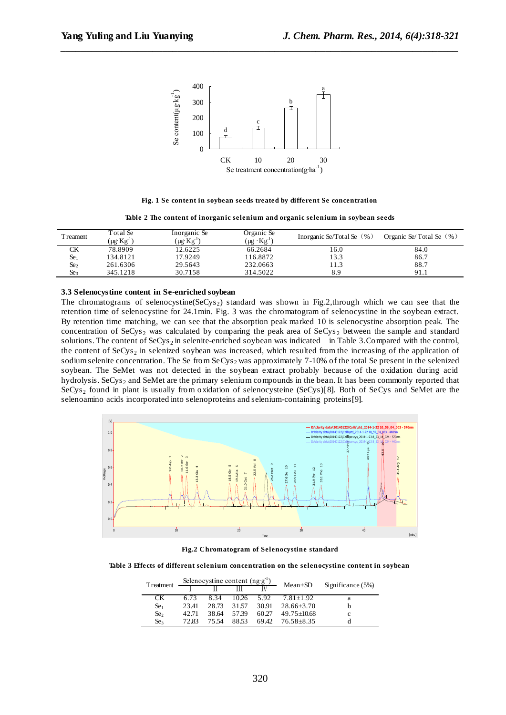

*\_\_\_\_\_\_\_\_\_\_\_\_\_\_\_\_\_\_\_\_\_\_\_\_\_\_\_\_\_\_\_\_\_\_\_\_\_\_\_\_\_\_\_\_\_\_\_\_\_\_\_\_\_\_\_\_\_\_\_\_\_\_\_\_\_\_\_\_\_\_\_\_\_\_\_\_\_\_*

**Fig. 1 Se content in soybean seeds treated by different Se concentration**

|  |  | Table 2 The content of inorganic selenium and organic selenium in soybean seeds |  |  |
|--|--|---------------------------------------------------------------------------------|--|--|
|  |  |                                                                                 |  |  |

| <b>T</b> reament | Total Se<br>$[\mu g K g^{-1}]$ | Inorganic Se<br>$(\mu g \cdot Kg^{-1})$ | Organic Se<br>$(\mu g \text{ kg}^{-1})$ | Inorganic Se/Total Se $(\% )$ | Organic Se/Total Se $(\%)$ |
|------------------|--------------------------------|-----------------------------------------|-----------------------------------------|-------------------------------|----------------------------|
| СK               | 78.8909                        | 12.6225                                 | 66.2684                                 | 16.0                          | 84.0                       |
| Se <sub>1</sub>  | 134.8121                       | 17.9249                                 | 116.8872                                | 13.3                          | 86.7                       |
| Se2              | 261.6306                       | 29.5643                                 | 232.0663                                | 1.3                           | 88.7                       |
| Se <sub>3</sub>  | 345.1218                       | 30.7158                                 | 314.5022                                | 8.9                           | 91.1                       |

## **3.3 Selenocystine content in Se-enriched soybean**

The chromatograms of selenocystine( $SeCys<sub>2</sub>$ ) standard was shown in Fig.2,through which we can see that the retention time of selenocystine for 24.1min. Fig. 3 was the chromatogram of selenocystine in the soybean extract. By retention time matching, we can see that the absorption peak marked 10 is selenocystine absorption peak. The concentration of SeCys, was calculated by comparing the peak area of  $SeCys<sub>2</sub>$  between the sample and standard solutions. The content of  $SeCys<sub>2</sub>$  in selenite-enriched soybean was indicated in Table 3. Compared with the control, the content of SeCys<sub>2</sub> in selenized soybean was increased, which resulted from the increasing of the application of sodium selenite concentration. The Se from  $SeCys<sub>2</sub>$  was approximately 7-10% of the total Se present in the selenized soybean. The SeMet was not detected in the soybean extract probably because of the oxidation during acid hydrolysis. SeCys<sub>2</sub> and SeMet are the primary selenium compounds in the bean. It has been commonly reported that SeCys<sub>2</sub> found in plant is usually from oxidation of selenocysteine (SeCys)[8]. Both of SeCys and SeMet are the selenoamino acids incorporated into selenoproteins and selenium-containing proteins[9].



**Fig.2 Chromatogram of Selenocystine standard**

**Table 3 Effects of different selenium concentration on the selenocystine content in soybean**

| <b>T</b> reatment     | Selenocystine content $(ng·g^{-1})$ |       |       |       |                |                     |
|-----------------------|-------------------------------------|-------|-------|-------|----------------|---------------------|
|                       |                                     |       |       |       | $Mean \pm SD$  | Significance $(5%)$ |
| CK.                   | 6.73                                | 8.34  | 10.26 | 5.92  | $7.81 + 1.92$  | a                   |
| $\rm Se$ <sub>1</sub> | 23.41                               | 28.73 | 31.57 | 30.91 | $28.66 + 3.70$ |                     |
| Se <sub>2</sub>       | 42.71                               | 38.64 | 57.39 | 60.27 | $49.75 + 0.68$ | c                   |
| Se <sub>3</sub>       | 72.83                               | 75.54 | 88.53 | 69.42 | $76.58 + 8.35$ |                     |